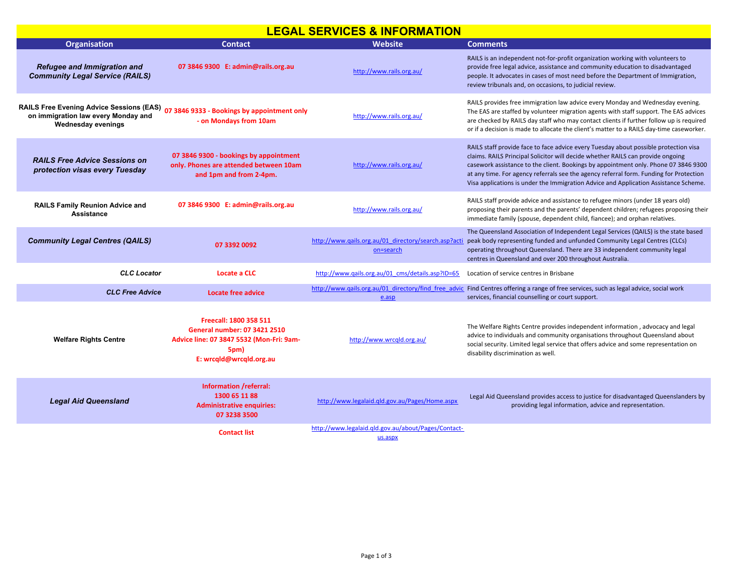## **LEGAL SERVICES & INFORMATION**

| <b>Organisation</b>                                                                                                                                      | <b>Contact</b>                                                                                                                        | <b>Website</b>                                                    | <b>Comments</b>                                                                                                                                                                                                                                                                                                                                                                                                                                  |
|----------------------------------------------------------------------------------------------------------------------------------------------------------|---------------------------------------------------------------------------------------------------------------------------------------|-------------------------------------------------------------------|--------------------------------------------------------------------------------------------------------------------------------------------------------------------------------------------------------------------------------------------------------------------------------------------------------------------------------------------------------------------------------------------------------------------------------------------------|
| <b>Refugee and Immigration and</b><br><b>Community Legal Service (RAILS)</b>                                                                             | 07 3846 9300 E: admin@rails.org.au                                                                                                    | http://www.rails.org.au/                                          | RAILS is an independent not-for-profit organization working with volunteers to<br>provide free legal advice, assistance and community education to disadvantaged<br>people. It advocates in cases of most need before the Department of Immigration,<br>review tribunals and, on occasions, to judicial review.                                                                                                                                  |
| RAILS Free Evening Advice Sessions (EAS) 07 3846 9333 - Bookings by appointment only<br>on immigration law every Monday and<br><b>Wednesday evenings</b> | - on Mondays from 10am                                                                                                                | http://www.rails.org.au/                                          | RAILS provides free immigration law advice every Monday and Wednesday evening.<br>The EAS are staffed by volunteer migration agents with staff support. The EAS advices<br>are checked by RAILS day staff who may contact clients if further follow up is required<br>or if a decision is made to allocate the client's matter to a RAILS day-time caseworker.                                                                                   |
| <b>RAILS Free Advice Sessions on</b><br>protection visas every Tuesday                                                                                   | 07 3846 9300 - bookings by appointment<br>only. Phones are attended between 10am<br>and 1pm and from 2-4pm.                           | http://www.rails.org.au/                                          | RAILS staff provide face to face advice every Tuesday about possible protection visa<br>claims. RAILS Principal Solicitor will decide whether RAILS can provide ongoing<br>casework assistance to the client. Bookings by appointment only. Phone 07 3846 9300<br>at any time. For agency referrals see the agency referral form. Funding for Protection<br>Visa applications is under the Immigration Advice and Application Assistance Scheme. |
| <b>RAILS Family Reunion Advice and</b><br><b>Assistance</b>                                                                                              | 07 3846 9300 E: admin@rails.org.au                                                                                                    | http://www.rails.org.au/                                          | RAILS staff provide advice and assistance to refugee minors (under 18 years old)<br>proposing their parents and the parents' dependent children; refugees proposing their<br>immediate family (spouse, dependent child, fiancee); and orphan relatives.                                                                                                                                                                                          |
| <b>Community Legal Centres (QAILS)</b>                                                                                                                   | 07 3392 0092                                                                                                                          | http://www.qails.org.au/01 directory/search.asp?acti<br>on=search | The Queensland Association of Independent Legal Services (QAILS) is the state based<br>peak body representing funded and unfunded Community Legal Centres (CLCs)<br>operating throughout Queensland. There are 33 independent community legal<br>centres in Queensland and over 200 throughout Australia.                                                                                                                                        |
| <b>CLC</b> Locator                                                                                                                                       | Locate a CLC                                                                                                                          | http://www.gails.org.au/01_cms/details.asp?ID=65                  | Location of service centres in Brisbane                                                                                                                                                                                                                                                                                                                                                                                                          |
| <b>CLC Free Advice</b>                                                                                                                                   | <b>Locate free advice</b>                                                                                                             | e.asp                                                             | http://www.qails.org.au/01 directory/find free advic Find Centres offering a range of free services, such as legal advice, social work<br>services, financial counselling or court support.                                                                                                                                                                                                                                                      |
| <b>Welfare Rights Centre</b>                                                                                                                             | Freecall: 1800 358 511<br>General number: 07 3421 2510<br>Advice line: 07 3847 5532 (Mon-Fri: 9am-<br>5pm)<br>E: wrcqld@wrcqld.org.au | http://www.wrcgld.org.au/                                         | The Welfare Rights Centre provides independent information, advocacy and legal<br>advice to individuals and community organisations throughout Queensland about<br>social security. Limited legal service that offers advice and some representation on<br>disability discrimination as well.                                                                                                                                                    |
| <b>Legal Aid Queensland</b>                                                                                                                              | Information /referral:<br>1300 65 11 88<br><b>Administrative enquiries:</b><br>07 3238 3500                                           | http://www.legalaid.gld.gov.au/Pages/Home.aspx                    | Legal Aid Queensland provides access to justice for disadvantaged Queenslanders by<br>providing legal information, advice and representation.                                                                                                                                                                                                                                                                                                    |
|                                                                                                                                                          | <b>Contact list</b>                                                                                                                   | http://www.legalaid.gld.gov.au/about/Pages/Contact-<br>us.aspx    |                                                                                                                                                                                                                                                                                                                                                                                                                                                  |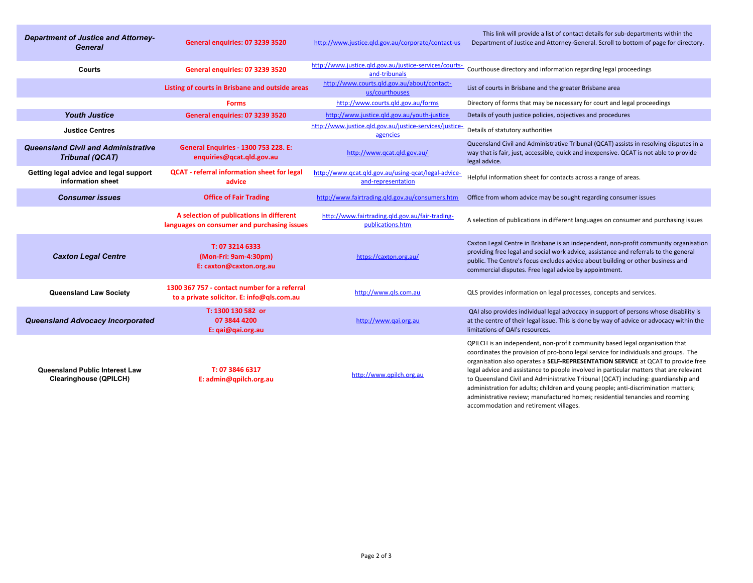| <b>Department of Justice and Attorney-</b><br><b>General</b>           | General enquiries: 07 3239 3520                                                            | http://www.justice.gld.gov.au/corporate/contact-us                        | This link will provide a list of contact details for sub-departments within the<br>Department of Justice and Attorney-General. Scroll to bottom of page for directory.                                                                                                                                                                                                                                                                                                                                                                                                                                                                                  |
|------------------------------------------------------------------------|--------------------------------------------------------------------------------------------|---------------------------------------------------------------------------|---------------------------------------------------------------------------------------------------------------------------------------------------------------------------------------------------------------------------------------------------------------------------------------------------------------------------------------------------------------------------------------------------------------------------------------------------------------------------------------------------------------------------------------------------------------------------------------------------------------------------------------------------------|
| Courts                                                                 | General enquiries: 07 3239 3520                                                            | http://www.justice.gld.gov.au/justice-services/courts-<br>and-tribunals   | Courthouse directory and information regarding legal proceedings                                                                                                                                                                                                                                                                                                                                                                                                                                                                                                                                                                                        |
|                                                                        | Listing of courts in Brisbane and outside areas                                            | http://www.courts.qld.gov.au/about/contact-<br>us/courthouses             | List of courts in Brisbane and the greater Brisbane area                                                                                                                                                                                                                                                                                                                                                                                                                                                                                                                                                                                                |
|                                                                        | <b>Forms</b>                                                                               | http://www.courts.qld.gov.au/forms                                        | Directory of forms that may be necessary for court and legal proceedings                                                                                                                                                                                                                                                                                                                                                                                                                                                                                                                                                                                |
| <b>Youth Justice</b>                                                   | General enguiries: 07 3239 3520                                                            | http://www.justice.gld.gov.au/youth-justice                               | Details of youth justice policies, objectives and procedures                                                                                                                                                                                                                                                                                                                                                                                                                                                                                                                                                                                            |
| <b>Justice Centres</b>                                                 |                                                                                            | http://www.justice.gld.gov.au/justice-services/justice-<br>agencies       | Details of statutory authorities                                                                                                                                                                                                                                                                                                                                                                                                                                                                                                                                                                                                                        |
| <b>Queensland Civil and Administrative</b><br><b>Tribunal (QCAT)</b>   | <b>General Enquiries - 1300 753 228. E:</b><br>enquiries@qcat.qld.gov.au                   | http://www.qcat.qld.gov.au/                                               | Queensland Civil and Administrative Tribunal (QCAT) assists in resolving disputes in a<br>way that is fair, just, accessible, quick and inexpensive. QCAT is not able to provide<br>legal advice.                                                                                                                                                                                                                                                                                                                                                                                                                                                       |
| Getting legal advice and legal support<br>information sheet            | <b>QCAT</b> - referral information sheet for legal<br>advice                               | http://www.qcat.qld.gov.au/using-qcat/legal-advice-<br>and-representation | Helpful information sheet for contacts across a range of areas.                                                                                                                                                                                                                                                                                                                                                                                                                                                                                                                                                                                         |
| <b>Consumer issues</b>                                                 | <b>Office of Fair Trading</b>                                                              | http://www.fairtrading.qld.gov.au/consumers.htm                           | Office from whom advice may be sought regarding consumer issues                                                                                                                                                                                                                                                                                                                                                                                                                                                                                                                                                                                         |
|                                                                        | A selection of publications in different<br>languages on consumer and purchasing issues    | http://www.fairtrading.gld.gov.au/fair-trading-<br>publications.htm       | A selection of publications in different languages on consumer and purchasing issues                                                                                                                                                                                                                                                                                                                                                                                                                                                                                                                                                                    |
| <b>Caxton Legal Centre</b>                                             | T: 07 3214 6333<br>(Mon-Fri: 9am-4:30pm)<br>E: caxton@caxton.org.au                        | https://caxton.org.au/                                                    | Caxton Legal Centre in Brisbane is an independent, non-profit community organisation<br>providing free legal and social work advice, assistance and referrals to the general<br>public. The Centre's focus excludes advice about building or other business and<br>commercial disputes. Free legal advice by appointment.                                                                                                                                                                                                                                                                                                                               |
| <b>Queensland Law Society</b>                                          | 1300 367 757 - contact number for a referral<br>to a private solicitor. E: info@qls.com.au | http://www.gls.com.au                                                     | QLS provides information on legal processes, concepts and services.                                                                                                                                                                                                                                                                                                                                                                                                                                                                                                                                                                                     |
| <b>Queensland Advocacy Incorporated</b>                                | T: 1300 130 582 or<br>07 3844 4200<br>E: gai@gai.org.au                                    | http://www.gai.org.au                                                     | QAI also provides individual legal advocacy in support of persons whose disability is<br>at the centre of their legal issue. This is done by way of advice or advocacy within the<br>limitations of QAI's resources.                                                                                                                                                                                                                                                                                                                                                                                                                                    |
| <b>Queensland Public Interest Law</b><br><b>Clearinghouse (QPILCH)</b> | T: 07 3846 6317<br>E: admin@qpilch.org.au                                                  | http://www.qpilch.org.au                                                  | QPILCH is an independent, non-profit community based legal organisation that<br>coordinates the provision of pro-bono legal service for individuals and groups. The<br>organisation also operates a SELF-REPRESENTATION SERVICE at QCAT to provide free<br>legal advice and assistance to people involved in particular matters that are relevant<br>to Queensland Civil and Administrative Tribunal (QCAT) including: guardianship and<br>administration for adults; children and young people; anti-discrimination matters;<br>administrative review; manufactured homes; residential tenancies and rooming<br>accommodation and retirement villages. |